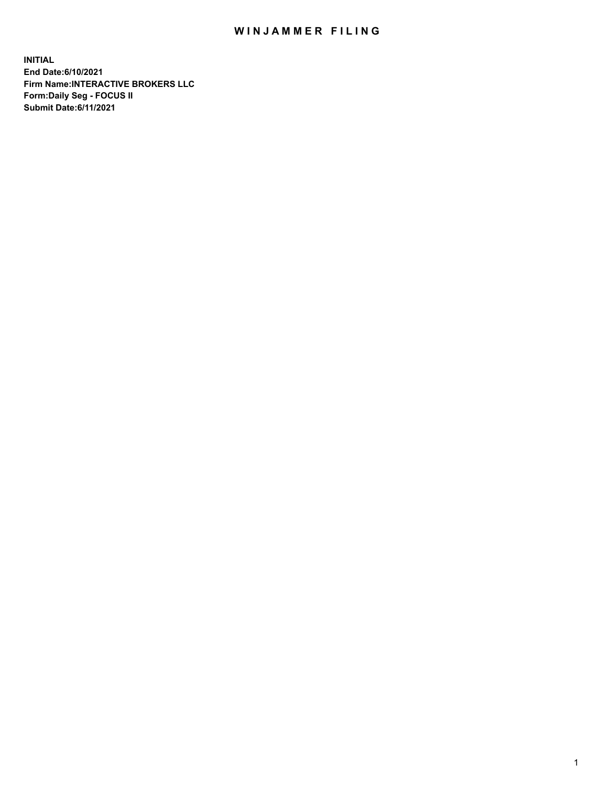## WIN JAMMER FILING

**INITIAL End Date:6/10/2021 Firm Name:INTERACTIVE BROKERS LLC Form:Daily Seg - FOCUS II Submit Date:6/11/2021**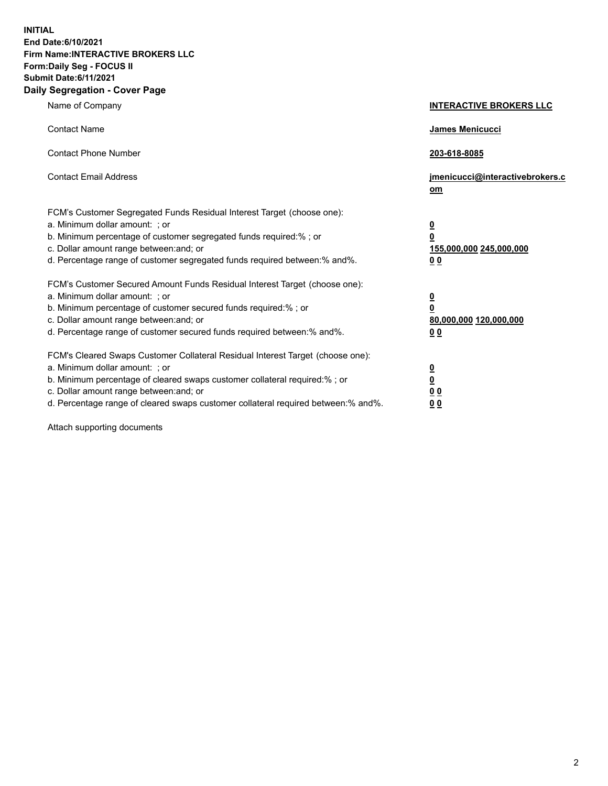**INITIAL End Date:6/10/2021 Firm Name:INTERACTIVE BROKERS LLC Form:Daily Seg - FOCUS II Submit Date:6/11/2021 Daily Segregation - Cover Page**

| Name of Company                                                                                                                                                                                                                                                                                                                | <b>INTERACTIVE BROKERS LLC</b>                                                                           |
|--------------------------------------------------------------------------------------------------------------------------------------------------------------------------------------------------------------------------------------------------------------------------------------------------------------------------------|----------------------------------------------------------------------------------------------------------|
| <b>Contact Name</b>                                                                                                                                                                                                                                                                                                            | James Menicucci                                                                                          |
| <b>Contact Phone Number</b>                                                                                                                                                                                                                                                                                                    | 203-618-8085                                                                                             |
| <b>Contact Email Address</b>                                                                                                                                                                                                                                                                                                   | jmenicucci@interactivebrokers.c<br>om                                                                    |
| FCM's Customer Segregated Funds Residual Interest Target (choose one):<br>a. Minimum dollar amount: ; or<br>b. Minimum percentage of customer segregated funds required:%; or<br>c. Dollar amount range between: and; or<br>d. Percentage range of customer segregated funds required between:% and%.                          | <u>0</u><br>$\overline{\mathbf{0}}$<br>155,000,000 245,000,000<br>0 <sub>0</sub>                         |
| FCM's Customer Secured Amount Funds Residual Interest Target (choose one):<br>a. Minimum dollar amount: ; or<br>b. Minimum percentage of customer secured funds required:%; or<br>c. Dollar amount range between: and; or<br>d. Percentage range of customer secured funds required between:% and%.                            | <u>0</u><br>$\overline{\mathbf{0}}$<br>80,000,000 120,000,000<br><u>00</u>                               |
| FCM's Cleared Swaps Customer Collateral Residual Interest Target (choose one):<br>a. Minimum dollar amount: ; or<br>b. Minimum percentage of cleared swaps customer collateral required:% ; or<br>c. Dollar amount range between: and; or<br>d. Percentage range of cleared swaps customer collateral required between:% and%. | $\overline{\mathbf{0}}$<br>$\underline{\mathbf{0}}$<br>$\underline{0}$ $\underline{0}$<br>0 <sub>0</sub> |

Attach supporting documents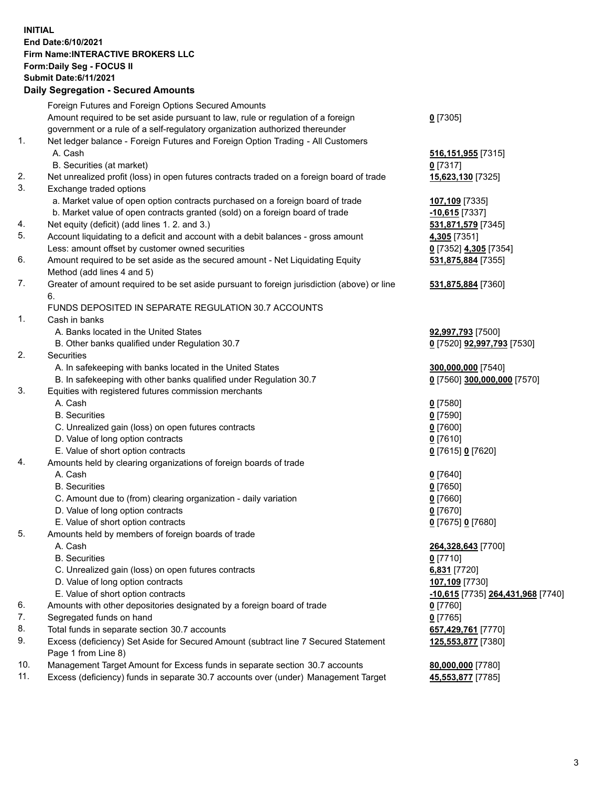## **INITIAL End Date:6/10/2021 Firm Name:INTERACTIVE BROKERS LLC Form:Daily Seg - FOCUS II Submit Date:6/11/2021 Daily Segregation - Secured Amounts**

|                | Daily Segregation - Secureu Amounts                                                         |                                   |
|----------------|---------------------------------------------------------------------------------------------|-----------------------------------|
|                | Foreign Futures and Foreign Options Secured Amounts                                         |                                   |
|                | Amount required to be set aside pursuant to law, rule or regulation of a foreign            | $0$ [7305]                        |
|                | government or a rule of a self-regulatory organization authorized thereunder                |                                   |
| $\mathbf{1}$ . | Net ledger balance - Foreign Futures and Foreign Option Trading - All Customers             |                                   |
|                | A. Cash                                                                                     | 516, 151, 955 [7315]              |
|                | B. Securities (at market)                                                                   | $0$ [7317]                        |
| 2.             | Net unrealized profit (loss) in open futures contracts traded on a foreign board of trade   | 15,623,130 [7325]                 |
| 3.             | Exchange traded options                                                                     |                                   |
|                | a. Market value of open option contracts purchased on a foreign board of trade              | 107,109 [7335]                    |
|                | b. Market value of open contracts granted (sold) on a foreign board of trade                | $-10,615$ [7337]                  |
| 4.             | Net equity (deficit) (add lines 1. 2. and 3.)                                               | 531,871,579 [7345]                |
| 5.             | Account liquidating to a deficit and account with a debit balances - gross amount           | 4,305 [7351]                      |
|                | Less: amount offset by customer owned securities                                            | 0 [7352] 4,305 [7354]             |
| 6.             | Amount required to be set aside as the secured amount - Net Liquidating Equity              | 531,875,884 [7355]                |
|                | Method (add lines 4 and 5)                                                                  |                                   |
| 7.             | Greater of amount required to be set aside pursuant to foreign jurisdiction (above) or line | 531,875,884 [7360]                |
|                | 6.                                                                                          |                                   |
|                | FUNDS DEPOSITED IN SEPARATE REGULATION 30.7 ACCOUNTS                                        |                                   |
| 1.             | Cash in banks                                                                               |                                   |
|                | A. Banks located in the United States                                                       | 92,997,793 [7500]                 |
|                | B. Other banks qualified under Regulation 30.7                                              | 0 [7520] <b>92,997,793</b> [7530] |
| 2.             | <b>Securities</b>                                                                           |                                   |
|                | A. In safekeeping with banks located in the United States                                   | 300,000,000 [7540]                |
|                | B. In safekeeping with other banks qualified under Regulation 30.7                          | 0 [7560] 300,000,000 [7570]       |
| 3.             | Equities with registered futures commission merchants                                       |                                   |
|                | A. Cash                                                                                     | $0$ [7580]                        |
|                | <b>B.</b> Securities                                                                        | $0$ [7590]                        |
|                | C. Unrealized gain (loss) on open futures contracts                                         | $0$ [7600]                        |
|                | D. Value of long option contracts                                                           | $0$ [7610]                        |
|                | E. Value of short option contracts                                                          | 0 [7615] 0 [7620]                 |
| 4.             | Amounts held by clearing organizations of foreign boards of trade                           |                                   |
|                | A. Cash                                                                                     | $0$ [7640]                        |
|                | <b>B.</b> Securities                                                                        | $0$ [7650]                        |
|                | C. Amount due to (from) clearing organization - daily variation                             | $0$ [7660]                        |
|                | D. Value of long option contracts                                                           | $0$ [7670]                        |
| 5.             | E. Value of short option contracts                                                          | 0 [7675] 0 [7680]                 |
|                | Amounts held by members of foreign boards of trade<br>A. Cash                               | 264,328,643 [7700]                |
|                | <b>B.</b> Securities                                                                        | $0$ [7710]                        |
|                | C. Unrealized gain (loss) on open futures contracts                                         | 6,831 [7720]                      |
|                | D. Value of long option contracts                                                           | 107,109 [7730]                    |
|                | E. Value of short option contracts                                                          | -10,615 [7735] 264,431,968 [7740] |
| 6.             | Amounts with other depositories designated by a foreign board of trade                      | 0 [7760]                          |
| 7.             | Segregated funds on hand                                                                    | $0$ [7765]                        |
| 8.             | Total funds in separate section 30.7 accounts                                               | 657,429,761 [7770]                |
| 9.             | Excess (deficiency) Set Aside for Secured Amount (subtract line 7 Secured Statement         | 125,553,877 [7380]                |
|                | Page 1 from Line 8)                                                                         |                                   |
| 10.            | Management Target Amount for Excess funds in separate section 30.7 accounts                 | 80,000,000 [7780]                 |
| 11.            | Excess (deficiency) funds in separate 30.7 accounts over (under) Management Target          | 45,553,877 [7785]                 |
|                |                                                                                             |                                   |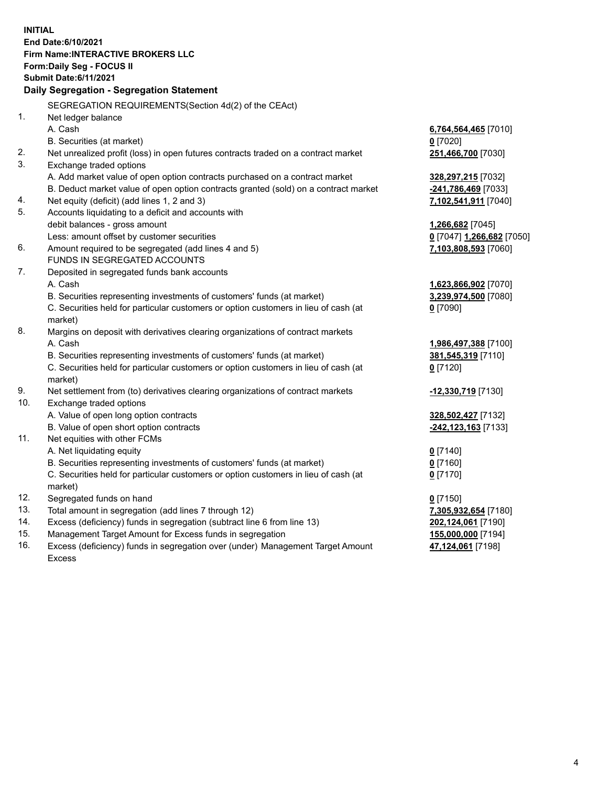**INITIAL End Date:6/10/2021 Firm Name:INTERACTIVE BROKERS LLC Form:Daily Seg - FOCUS II Submit Date:6/11/2021 Daily Segregation - Segregation Statement** SEGREGATION REQUIREMENTS(Section 4d(2) of the CEAct) 1. Net ledger balance A. Cash **6,764,564,465** [7010] B. Securities (at market) **0** [7020] 2. Net unrealized profit (loss) in open futures contracts traded on a contract market **251,466,700** [7030] 3. Exchange traded options A. Add market value of open option contracts purchased on a contract market **328,297,215** [7032] B. Deduct market value of open option contracts granted (sold) on a contract market **-241,786,469** [7033] 4. Net equity (deficit) (add lines 1, 2 and 3) **7,102,541,911** [7040] 5. Accounts liquidating to a deficit and accounts with debit balances - gross amount **1,266,682** [7045] Less: amount offset by customer securities **0** [7047] **1,266,682** [7050] 6. Amount required to be segregated (add lines 4 and 5) **7,103,808,593** [7060] FUNDS IN SEGREGATED ACCOUNTS 7. Deposited in segregated funds bank accounts A. Cash **1,623,866,902** [7070] B. Securities representing investments of customers' funds (at market) **3,239,974,500** [7080] C. Securities held for particular customers or option customers in lieu of cash (at market) **0** [7090] 8. Margins on deposit with derivatives clearing organizations of contract markets A. Cash **1,986,497,388** [7100] B. Securities representing investments of customers' funds (at market) **381,545,319** [7110] C. Securities held for particular customers or option customers in lieu of cash (at market) **0** [7120] 9. Net settlement from (to) derivatives clearing organizations of contract markets **-12,330,719** [7130] 10. Exchange traded options A. Value of open long option contracts **328,502,427** [7132] B. Value of open short option contracts **-242,123,163** [7133] 11. Net equities with other FCMs A. Net liquidating equity **0** [7140] B. Securities representing investments of customers' funds (at market) **0** [7160] C. Securities held for particular customers or option customers in lieu of cash (at market) **0** [7170] 12. Segregated funds on hand **0** [7150] 13. Total amount in segregation (add lines 7 through 12) **7,305,932,654** [7180] 14. Excess (deficiency) funds in segregation (subtract line 6 from line 13) **202,124,061** [7190] 15. Management Target Amount for Excess funds in segregation **155,000,000** [7194] 16. Excess (deficiency) funds in segregation over (under) Management Target Amount **47,124,061** [7198]

Excess